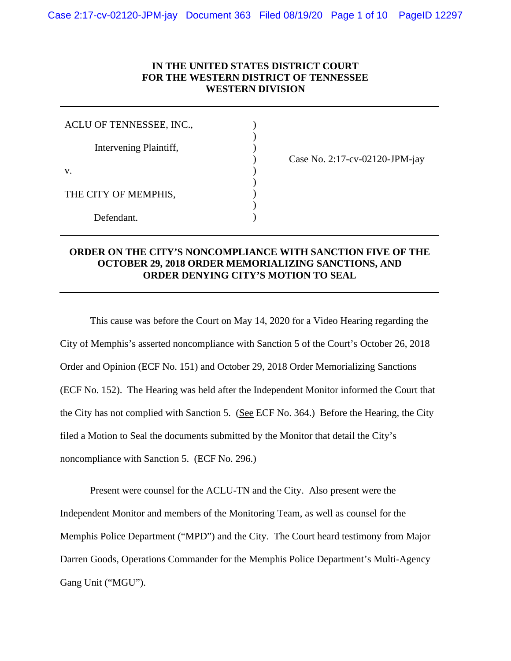# **IN THE UNITED STATES DISTRICT COURT FOR THE WESTERN DISTRICT OF TENNESSEE WESTERN DIVISION**

) ) )

 $\mathcal{L}$ ) ) )

| ACLU OF TENNESSEE, INC., |  |
|--------------------------|--|
| Intervening Plaintiff,   |  |
| V.                       |  |
| THE CITY OF MEMPHIS,     |  |
| Defendant.               |  |

) Case No. 2:17-cv-02120-JPM-jay

# **ORDER ON THE CITY'S NONCOMPLIANCE WITH SANCTION FIVE OF THE OCTOBER 29, 2018 ORDER MEMORIALIZING SANCTIONS, AND ORDER DENYING CITY'S MOTION TO SEAL**

This cause was before the Court on May 14, 2020 for a Video Hearing regarding the City of Memphis's asserted noncompliance with Sanction 5 of the Court's October 26, 2018 Order and Opinion (ECF No. 151) and October 29, 2018 Order Memorializing Sanctions (ECF No. 152). The Hearing was held after the Independent Monitor informed the Court that the City has not complied with Sanction 5. (See ECF No. 364.) Before the Hearing, the City filed a Motion to Seal the documents submitted by the Monitor that detail the City's noncompliance with Sanction 5. (ECF No. 296.)

Present were counsel for the ACLU-TN and the City. Also present were the Independent Monitor and members of the Monitoring Team, as well as counsel for the Memphis Police Department ("MPD") and the City. The Court heard testimony from Major Darren Goods, Operations Commander for the Memphis Police Department's Multi-Agency Gang Unit ("MGU").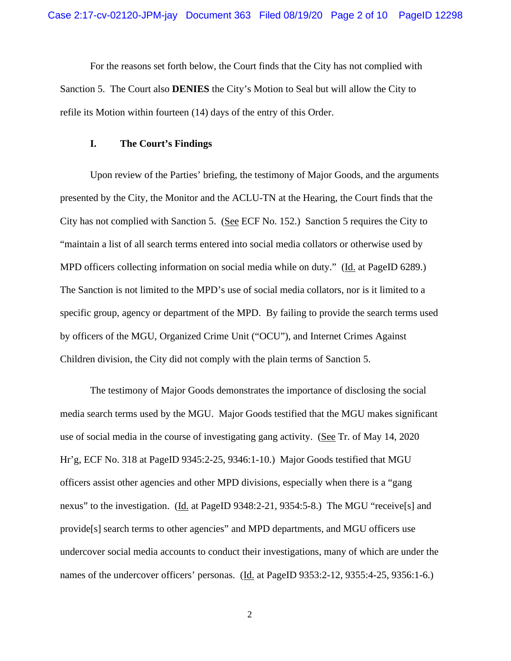For the reasons set forth below, the Court finds that the City has not complied with Sanction 5. The Court also **DENIES** the City's Motion to Seal but will allow the City to refile its Motion within fourteen (14) days of the entry of this Order.

### **I. The Court's Findings**

Upon review of the Parties' briefing, the testimony of Major Goods, and the arguments presented by the City, the Monitor and the ACLU-TN at the Hearing, the Court finds that the City has not complied with Sanction 5. (See ECF No. 152.) Sanction 5 requires the City to "maintain a list of all search terms entered into social media collators or otherwise used by MPD officers collecting information on social media while on duty." (Id. at PageID 6289.) The Sanction is not limited to the MPD's use of social media collators, nor is it limited to a specific group, agency or department of the MPD. By failing to provide the search terms used by officers of the MGU, Organized Crime Unit ("OCU"), and Internet Crimes Against Children division, the City did not comply with the plain terms of Sanction 5.

The testimony of Major Goods demonstrates the importance of disclosing the social media search terms used by the MGU. Major Goods testified that the MGU makes significant use of social media in the course of investigating gang activity. (See Tr. of May 14, 2020 Hr'g, ECF No. 318 at PageID 9345:2-25, 9346:1-10.) Major Goods testified that MGU officers assist other agencies and other MPD divisions, especially when there is a "gang nexus" to the investigation. (Id. at PageID 9348:2-21, 9354:5-8.) The MGU "receive[s] and provide[s] search terms to other agencies" and MPD departments, and MGU officers use undercover social media accounts to conduct their investigations, many of which are under the names of the undercover officers' personas. (Id. at PageID 9353:2-12, 9355:4-25, 9356:1-6.)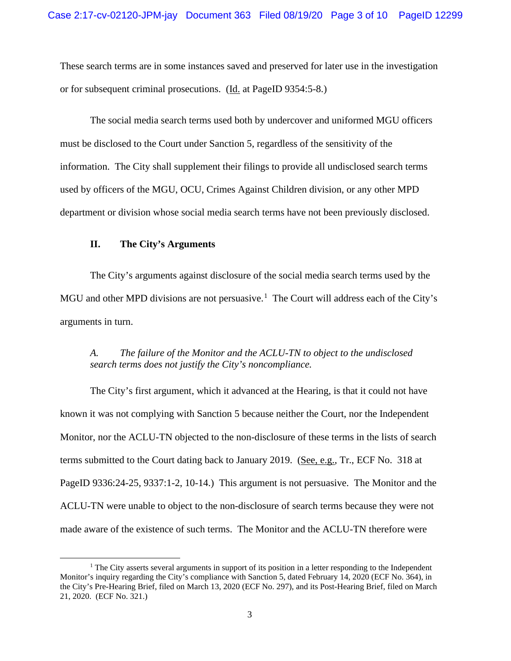These search terms are in some instances saved and preserved for later use in the investigation or for subsequent criminal prosecutions. (Id. at PageID 9354:5-8.)

The social media search terms used both by undercover and uniformed MGU officers must be disclosed to the Court under Sanction 5, regardless of the sensitivity of the information. The City shall supplement their filings to provide all undisclosed search terms used by officers of the MGU, OCU, Crimes Against Children division, or any other MPD department or division whose social media search terms have not been previously disclosed.

## **II. The City's Arguments**

The City's arguments against disclosure of the social media search terms used by the MGU and other MPD divisions are not persuasive.<sup>[1](#page-2-0)</sup> The Court will address each of the City's arguments in turn.

## *A. The failure of the Monitor and the ACLU-TN to object to the undisclosed search terms does not justify the City's noncompliance.*

The City's first argument, which it advanced at the Hearing, is that it could not have known it was not complying with Sanction 5 because neither the Court, nor the Independent Monitor, nor the ACLU-TN objected to the non-disclosure of these terms in the lists of search terms submitted to the Court dating back to January 2019. (See, e.g., Tr., ECF No. 318 at PageID 9336:24-25, 9337:1-2, 10-14.) This argument is not persuasive. The Monitor and the ACLU-TN were unable to object to the non-disclosure of search terms because they were not made aware of the existence of such terms. The Monitor and the ACLU-TN therefore were

<span id="page-2-0"></span> $<sup>1</sup>$  The City asserts several arguments in support of its position in a letter responding to the Independent</sup> Monitor's inquiry regarding the City's compliance with Sanction 5, dated February 14, 2020 (ECF No. 364), in the City's Pre-Hearing Brief, filed on March 13, 2020 (ECF No. 297), and its Post-Hearing Brief, filed on March 21, 2020. (ECF No. 321.)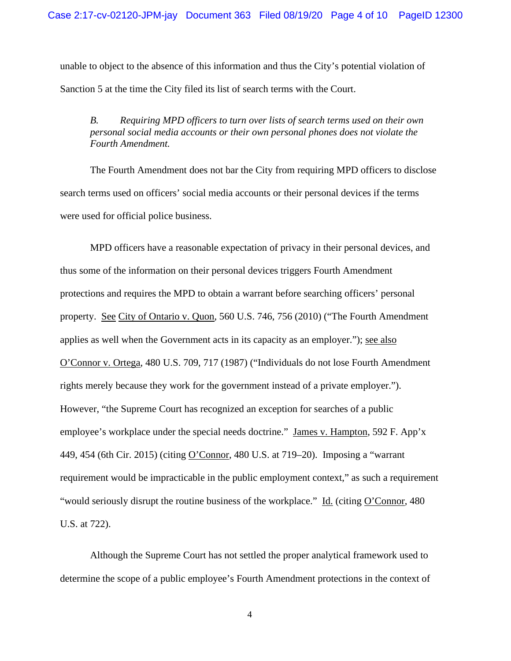unable to object to the absence of this information and thus the City's potential violation of Sanction 5 at the time the City filed its list of search terms with the Court.

*B. Requiring MPD officers to turn over lists of search terms used on their own personal social media accounts or their own personal phones does not violate the Fourth Amendment.* 

The Fourth Amendment does not bar the City from requiring MPD officers to disclose search terms used on officers' social media accounts or their personal devices if the terms were used for official police business.

MPD officers have a reasonable expectation of privacy in their personal devices, and thus some of the information on their personal devices triggers Fourth Amendment protections and requires the MPD to obtain a warrant before searching officers' personal property. See City of Ontario v. Quon, 560 U.S. 746, 756 (2010) ("The Fourth Amendment applies as well when the Government acts in its capacity as an employer."); see also O'Connor v. Ortega, 480 U.S. 709, 717 (1987) ("Individuals do not lose Fourth Amendment rights merely because they work for the government instead of a private employer."). However, "the Supreme Court has recognized an exception for searches of a public employee's workplace under the special needs doctrine." James v. Hampton, 592 F. App'x 449, 454 (6th Cir. 2015) (citing O'Connor, 480 U.S. at 719–20). Imposing a "warrant requirement would be impracticable in the public employment context," as such a requirement "would seriously disrupt the routine business of the workplace." Id. (citing O'Connor, 480 U.S. at 722).

Although the Supreme Court has not settled the proper analytical framework used to determine the scope of a public employee's Fourth Amendment protections in the context of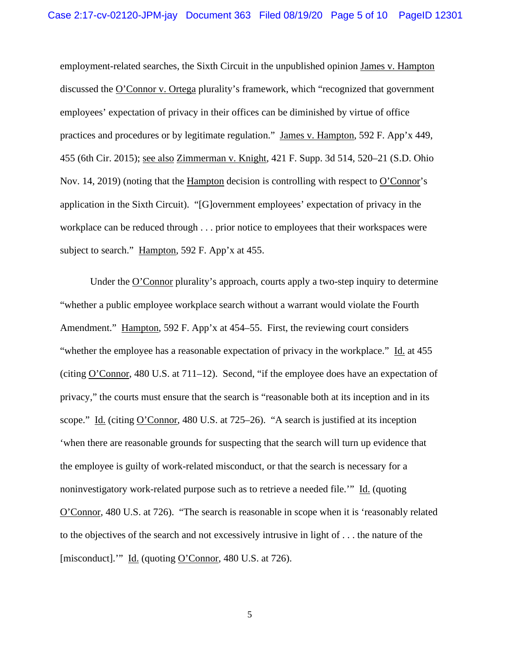employment-related searches, the Sixth Circuit in the unpublished opinion James v. Hampton discussed the O'Connor v. Ortega plurality's framework, which "recognized that government employees' expectation of privacy in their offices can be diminished by virtue of office practices and procedures or by legitimate regulation." James v. Hampton, 592 F. App'x 449, 455 (6th Cir. 2015); see also Zimmerman v. Knight, 421 F. Supp. 3d 514, 520–21 (S.D. Ohio Nov. 14, 2019) (noting that the Hampton decision is controlling with respect to O'Connor's application in the Sixth Circuit). "[G]overnment employees' expectation of privacy in the workplace can be reduced through . . . prior notice to employees that their workspaces were subject to search." Hampton, 592 F. App'x at 455.

Under the O'Connor plurality's approach, courts apply a two-step inquiry to determine "whether a public employee workplace search without a warrant would violate the Fourth Amendment." Hampton, 592 F. App'x at 454–55. First, the reviewing court considers "whether the employee has a reasonable expectation of privacy in the workplace." Id. at 455 (citing O'Connor, 480 U.S. at 711–12). Second, "if the employee does have an expectation of privacy," the courts must ensure that the search is "reasonable both at its inception and in its scope." Id. (citing O'Connor, 480 U.S. at 725–26). "A search is justified at its inception 'when there are reasonable grounds for suspecting that the search will turn up evidence that the employee is guilty of work-related misconduct, or that the search is necessary for a noninvestigatory work-related purpose such as to retrieve a needed file.'" Id. (quoting O'Connor, 480 U.S. at 726). "The search is reasonable in scope when it is 'reasonably related to the objectives of the search and not excessively intrusive in light of . . . the nature of the [misconduct].'" Id. (quoting O'Connor, 480 U.S. at 726).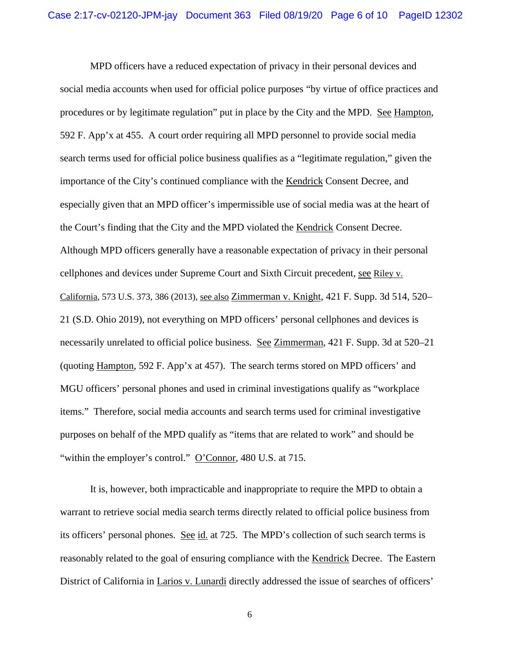MPD officers have a reduced expectation of privacy in their personal devices and social media accounts when used for official police purposes "by virtue of office practices and procedures or by legitimate regulation" put in place by the City and the MPD. See Hampton, 592 F. App'x at 455. A court order requiring all MPD personnel to provide social media search terms used for official police business qualifies as a "legitimate regulation," given the importance of the City's continued compliance with the Kendrick Consent Decree, and especially given that an MPD officer's impermissible use of social media was at the heart of the Court's finding that the City and the MPD violated the Kendrick Consent Decree. Although MPD officers generally have a reasonable expectation of privacy in their personal cellphones and devices under Supreme Court and Sixth Circuit precedent, see Riley v. California, 573 U.S. 373, 386 (2013), see also Zimmerman v. Knight, 421 F. Supp. 3d 514, 520– 21 (S.D. Ohio 2019), not everything on MPD officers' personal cellphones and devices is necessarily unrelated to official police business. See Zimmerman, 421 F. Supp. 3d at 520–21 (quoting Hampton, 592 F. App'x at 457). The search terms stored on MPD officers' and MGU officers' personal phones and used in criminal investigations qualify as "workplace items." Therefore, social media accounts and search terms used for criminal investigative purposes on behalf of the MPD qualify as "items that are related to work" and should be "within the employer's control." O'Connor, 480 U.S. at 715.

It is, however, both impracticable and inappropriate to require the MPD to obtain a warrant to retrieve social media search terms directly related to official police business from its officers' personal phones. See id. at 725. The MPD's collection of such search terms is reasonably related to the goal of ensuring compliance with the Kendrick Decree. The Eastern District of California in Larios v. Lunardi directly addressed the issue of searches of officers'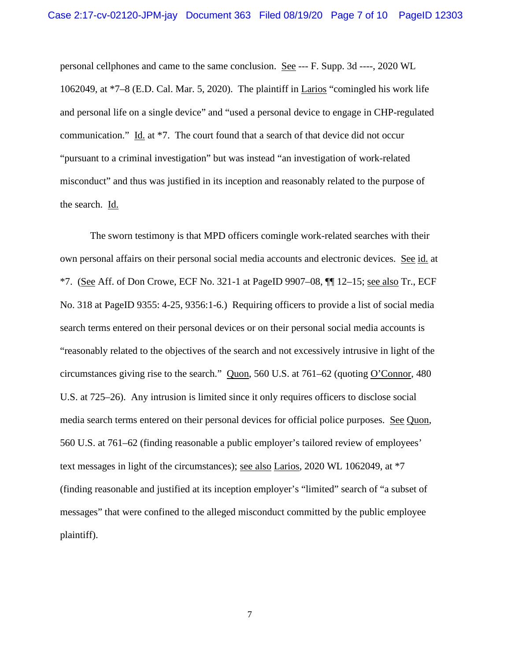personal cellphones and came to the same conclusion. See --- F. Supp. 3d ----, 2020 WL 1062049, at \*7–8 (E.D. Cal. Mar. 5, 2020). The plaintiff in Larios "comingled his work life and personal life on a single device" and "used a personal device to engage in CHP-regulated communication." Id. at \*7. The court found that a search of that device did not occur "pursuant to a criminal investigation" but was instead "an investigation of work-related misconduct" and thus was justified in its inception and reasonably related to the purpose of the search. Id.

The sworn testimony is that MPD officers comingle work-related searches with their own personal affairs on their personal social media accounts and electronic devices. See id. at  $*7.$  (See Aff. of Don Crowe, ECF No. 321-1 at PageID 9907–08,  $\P\P$  12–15; see also Tr., ECF No. 318 at PageID 9355: 4-25, 9356:1-6.) Requiring officers to provide a list of social media search terms entered on their personal devices or on their personal social media accounts is "reasonably related to the objectives of the search and not excessively intrusive in light of the circumstances giving rise to the search." Quon, 560 U.S. at 761–62 (quoting O'Connor, 480 U.S. at 725–26). Any intrusion is limited since it only requires officers to disclose social media search terms entered on their personal devices for official police purposes. See Quon, 560 U.S. at 761–62 (finding reasonable a public employer's tailored review of employees' text messages in light of the circumstances); see also Larios, 2020 WL 1062049, at \*7 (finding reasonable and justified at its inception employer's "limited" search of "a subset of messages" that were confined to the alleged misconduct committed by the public employee plaintiff).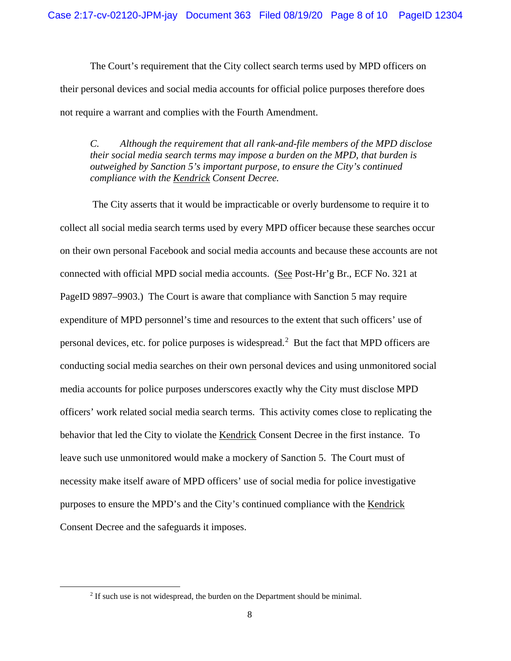The Court's requirement that the City collect search terms used by MPD officers on their personal devices and social media accounts for official police purposes therefore does not require a warrant and complies with the Fourth Amendment.

*C. Although the requirement that all rank-and-file members of the MPD disclose their social media search terms may impose a burden on the MPD, that burden is outweighed by Sanction 5's important purpose, to ensure the City's continued compliance with the Kendrick Consent Decree.*

The City asserts that it would be impracticable or overly burdensome to require it to collect all social media search terms used by every MPD officer because these searches occur on their own personal Facebook and social media accounts and because these accounts are not connected with official MPD social media accounts. (See Post-Hr'g Br., ECF No. 321 at PageID 9897–9903.) The Court is aware that compliance with Sanction 5 may require expenditure of MPD personnel's time and resources to the extent that such officers' use of personal devices, etc. for police purposes is widespread.<sup>[2](#page-7-0)</sup> But the fact that MPD officers are conducting social media searches on their own personal devices and using unmonitored social media accounts for police purposes underscores exactly why the City must disclose MPD officers' work related social media search terms. This activity comes close to replicating the behavior that led the City to violate the Kendrick Consent Decree in the first instance. To leave such use unmonitored would make a mockery of Sanction 5. The Court must of necessity make itself aware of MPD officers' use of social media for police investigative purposes to ensure the MPD's and the City's continued compliance with the Kendrick Consent Decree and the safeguards it imposes.

<span id="page-7-0"></span><sup>&</sup>lt;sup>2</sup> If such use is not widespread, the burden on the Department should be minimal.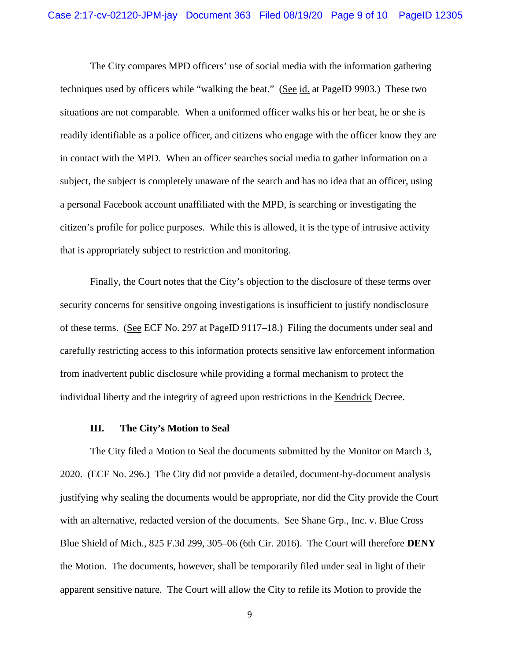The City compares MPD officers' use of social media with the information gathering techniques used by officers while "walking the beat." (See id. at PageID 9903.) These two situations are not comparable. When a uniformed officer walks his or her beat, he or she is readily identifiable as a police officer, and citizens who engage with the officer know they are in contact with the MPD. When an officer searches social media to gather information on a subject, the subject is completely unaware of the search and has no idea that an officer, using a personal Facebook account unaffiliated with the MPD, is searching or investigating the citizen's profile for police purposes. While this is allowed, it is the type of intrusive activity that is appropriately subject to restriction and monitoring.

Finally, the Court notes that the City's objection to the disclosure of these terms over security concerns for sensitive ongoing investigations is insufficient to justify nondisclosure of these terms. (See ECF No. 297 at PageID 9117–18.) Filing the documents under seal and carefully restricting access to this information protects sensitive law enforcement information from inadvertent public disclosure while providing a formal mechanism to protect the individual liberty and the integrity of agreed upon restrictions in the Kendrick Decree.

#### **III. The City's Motion to Seal**

The City filed a Motion to Seal the documents submitted by the Monitor on March 3, 2020. (ECF No. 296.) The City did not provide a detailed, document-by-document analysis justifying why sealing the documents would be appropriate, nor did the City provide the Court with an alternative, redacted version of the documents. See Shane Grp., Inc. v. Blue Cross Blue Shield of Mich., 825 F.3d 299, 305–06 (6th Cir. 2016). The Court will therefore **DENY** the Motion. The documents, however, shall be temporarily filed under seal in light of their apparent sensitive nature. The Court will allow the City to refile its Motion to provide the